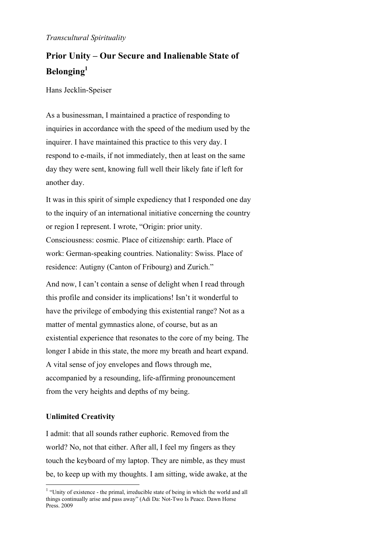## *Transcultural Spirituality*

# **Prior Unity – Our Secure and Inalienable State of Belonging1**

Hans Jecklin-Speiser

As a businessman, I maintained a practice of responding to inquiries in accordance with the speed of the medium used by the inquirer. I have maintained this practice to this very day. I respond to e-mails, if not immediately, then at least on the same day they were sent, knowing full well their likely fate if left for another day.

It was in this spirit of simple expediency that I responded one day to the inquiry of an international initiative concerning the country or region I represent. I wrote, "Origin: prior unity. Consciousness: cosmic. Place of citizenship: earth. Place of work: German-speaking countries. Nationality: Swiss. Place of residence: Autigny (Canton of Fribourg) and Zurich."

And now, I can't contain a sense of delight when I read through this profile and consider its implications! Isn't it wonderful to have the privilege of embodying this existential range? Not as a matter of mental gymnastics alone, of course, but as an existential experience that resonates to the core of my being. The longer I abide in this state, the more my breath and heart expand. A vital sense of joy envelopes and flows through me, accompanied by a resounding, life-affirming pronouncement from the very heights and depths of my being.

# **Unlimited Creativity**

1

I admit: that all sounds rather euphoric. Removed from the world? No, not that either. After all, I feel my fingers as they touch the keyboard of my laptop. They are nimble, as they must be, to keep up with my thoughts. I am sitting, wide awake, at the

<sup>&</sup>lt;sup>1</sup> "Unity of existence - the primal, irreducible state of being in which the world and all things continually arise and pass away" (Adi Da: Not-Two Is Peace. Dawn Horse Press. 2009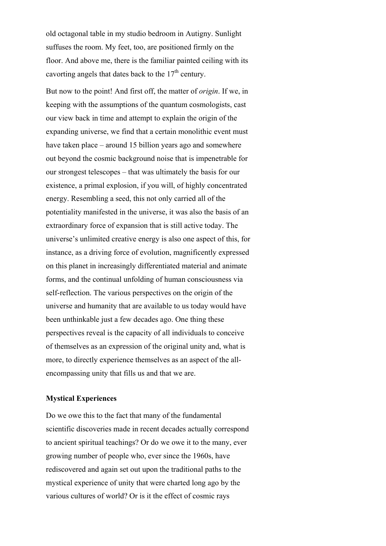old octagonal table in my studio bedroom in Autigny. Sunlight suffuses the room. My feet, too, are positioned firmly on the floor. And above me, there is the familiar painted ceiling with its cavorting angels that dates back to the  $17<sup>th</sup>$  century.

But now to the point! And first off, the matter of *origin*. If we, in keeping with the assumptions of the quantum cosmologists, cast our view back in time and attempt to explain the origin of the expanding universe, we find that a certain monolithic event must have taken place – around 15 billion years ago and somewhere out beyond the cosmic background noise that is impenetrable for our strongest telescopes – that was ultimately the basis for our existence, a primal explosion, if you will, of highly concentrated energy. Resembling a seed, this not only carried all of the potentiality manifested in the universe, it was also the basis of an extraordinary force of expansion that is still active today. The universe's unlimited creative energy is also one aspect of this, for instance, as a driving force of evolution, magnificently expressed on this planet in increasingly differentiated material and animate forms, and the continual unfolding of human consciousness via self-reflection. The various perspectives on the origin of the universe and humanity that are available to us today would have been unthinkable just a few decades ago. One thing these perspectives reveal is the capacity of all individuals to conceive of themselves as an expression of the original unity and, what is more, to directly experience themselves as an aspect of the allencompassing unity that fills us and that we are.

#### **Mystical Experiences**

Do we owe this to the fact that many of the fundamental scientific discoveries made in recent decades actually correspond to ancient spiritual teachings? Or do we owe it to the many, ever growing number of people who, ever since the 1960s, have rediscovered and again set out upon the traditional paths to the mystical experience of unity that were charted long ago by the various cultures of world? Or is it the effect of cosmic rays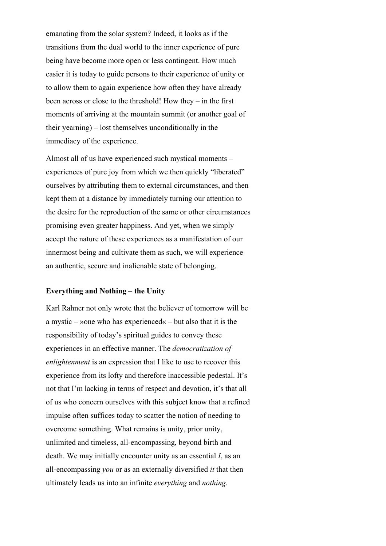emanating from the solar system? Indeed, it looks as if the transitions from the dual world to the inner experience of pure being have become more open or less contingent. How much easier it is today to guide persons to their experience of unity or to allow them to again experience how often they have already been across or close to the threshold! How they – in the first moments of arriving at the mountain summit (or another goal of their yearning) – lost themselves unconditionally in the immediacy of the experience.

Almost all of us have experienced such mystical moments – experiences of pure joy from which we then quickly "liberated" ourselves by attributing them to external circumstances, and then kept them at a distance by immediately turning our attention to the desire for the reproduction of the same or other circumstances promising even greater happiness. And yet, when we simply accept the nature of these experiences as a manifestation of our innermost being and cultivate them as such, we will experience an authentic, secure and inalienable state of belonging.

#### **Everything and Nothing – the Unity**

Karl Rahner not only wrote that the believer of tomorrow will be a mystic – »one who has experienced« – but also that it is the responsibility of today's spiritual guides to convey these experiences in an effective manner. The *democratization of enlightenment* is an expression that I like to use to recover this experience from its lofty and therefore inaccessible pedestal. It's not that I'm lacking in terms of respect and devotion, it's that all of us who concern ourselves with this subject know that a refined impulse often suffices today to scatter the notion of needing to overcome something. What remains is unity, prior unity, unlimited and timeless, all-encompassing, beyond birth and death. We may initially encounter unity as an essential *I*, as an all-encompassing *you* or as an externally diversified *it* that then ultimately leads us into an infinite *everything* and *nothing*.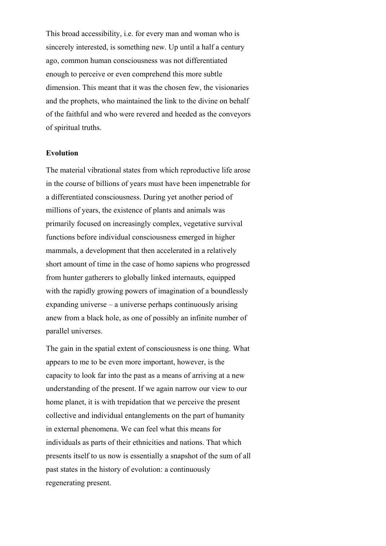This broad accessibility, i.e. for every man and woman who is sincerely interested, is something new. Up until a half a century ago, common human consciousness was not differentiated enough to perceive or even comprehend this more subtle dimension. This meant that it was the chosen few, the visionaries and the prophets, who maintained the link to the divine on behalf of the faithful and who were revered and heeded as the conveyors of spiritual truths.

## **Evolution**

The material vibrational states from which reproductive life arose in the course of billions of years must have been impenetrable for a differentiated consciousness. During yet another period of millions of years, the existence of plants and animals was primarily focused on increasingly complex, vegetative survival functions before individual consciousness emerged in higher mammals, a development that then accelerated in a relatively short amount of time in the case of homo sapiens who progressed from hunter gatherers to globally linked internauts, equipped with the rapidly growing powers of imagination of a boundlessly expanding universe – a universe perhaps continuously arising anew from a black hole, as one of possibly an infinite number of parallel universes.

The gain in the spatial extent of consciousness is one thing. What appears to me to be even more important, however, is the capacity to look far into the past as a means of arriving at a new understanding of the present. If we again narrow our view to our home planet, it is with trepidation that we perceive the present collective and individual entanglements on the part of humanity in external phenomena. We can feel what this means for individuals as parts of their ethnicities and nations. That which presents itself to us now is essentially a snapshot of the sum of all past states in the history of evolution: a continuously regenerating present.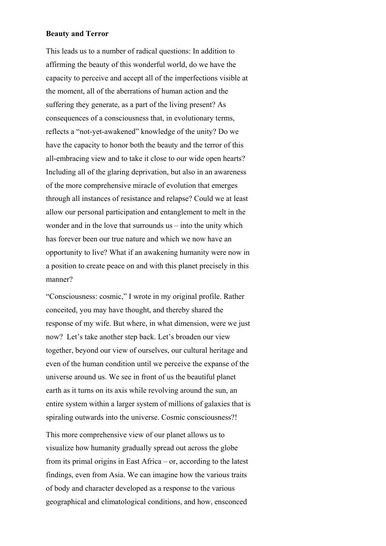## **Beauty and Terror**

This leads us to a number of radical questions: In addition to affirming the beauty of this wonderful world, do we have the capacity to perceive and accept all of the imperfections visible at the moment, all of the aberrations of human action and the suffering they generate, as a part of the living present? As consequences of a consciousness that, in evolutionary terms, reflects a "not-yet-awakened" knowledge of the unity? Do we have the capacity to honor both the beauty and the terror of this all-embracing view and to take it close to our wide open hearts? Including all of the glaring deprivation, but also in an awareness of the more comprehensive miracle of evolution that emerges through all instances of resistance and relapse? Could we at least allow our personal participation and entanglement to melt in the wonder and in the love that surrounds us – into the unity which has forever been our true nature and which we now have an opportunity to live? What if an awakening humanity were now in a position to create peace on and with this planet precisely in this manner?

"Consciousness: cosmic," I wrote in my original profile. Rather conceited, you may have thought, and thereby shared the response of my wife. But where, in what dimension, were we just now? Let's take another step back. Let's broaden our view together, beyond our view of ourselves, our cultural heritage and even of the human condition until we perceive the expanse of the universe around us. We see in front of us the beautiful planet earth as it turns on its axis while revolving around the sun, an entire system within a larger system of millions of galaxies that is spiraling outwards into the universe. Cosmic consciousness?!

This more comprehensive view of our planet allows us to visualize how humanity gradually spread out across the globe from its primal origins in East Africa – or, according to the latest findings, even from Asia. We can imagine how the various traits of body and character developed as a response to the various geographical and climatological conditions, and how, ensconced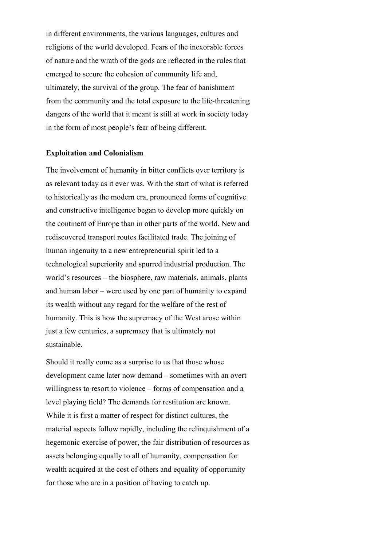in different environments, the various languages, cultures and religions of the world developed. Fears of the inexorable forces of nature and the wrath of the gods are reflected in the rules that emerged to secure the cohesion of community life and, ultimately, the survival of the group. The fear of banishment from the community and the total exposure to the life-threatening dangers of the world that it meant is still at work in society today in the form of most people's fear of being different.

# **Exploitation and Colonialism**

The involvement of humanity in bitter conflicts over territory is as relevant today as it ever was. With the start of what is referred to historically as the modern era, pronounced forms of cognitive and constructive intelligence began to develop more quickly on the continent of Europe than in other parts of the world. New and rediscovered transport routes facilitated trade. The joining of human ingenuity to a new entrepreneurial spirit led to a technological superiority and spurred industrial production. The world's resources – the biosphere, raw materials, animals, plants and human labor – were used by one part of humanity to expand its wealth without any regard for the welfare of the rest of humanity. This is how the supremacy of the West arose within just a few centuries, a supremacy that is ultimately not sustainable.

Should it really come as a surprise to us that those whose development came later now demand – sometimes with an overt willingness to resort to violence – forms of compensation and a level playing field? The demands for restitution are known. While it is first a matter of respect for distinct cultures, the material aspects follow rapidly, including the relinquishment of a hegemonic exercise of power, the fair distribution of resources as assets belonging equally to all of humanity, compensation for wealth acquired at the cost of others and equality of opportunity for those who are in a position of having to catch up.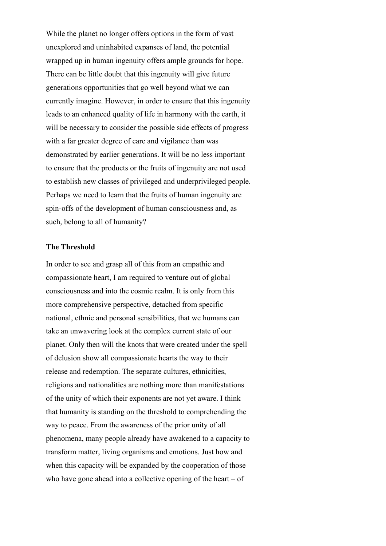While the planet no longer offers options in the form of vast unexplored and uninhabited expanses of land, the potential wrapped up in human ingenuity offers ample grounds for hope. There can be little doubt that this ingenuity will give future generations opportunities that go well beyond what we can currently imagine. However, in order to ensure that this ingenuity leads to an enhanced quality of life in harmony with the earth, it will be necessary to consider the possible side effects of progress with a far greater degree of care and vigilance than was demonstrated by earlier generations. It will be no less important to ensure that the products or the fruits of ingenuity are not used to establish new classes of privileged and underprivileged people. Perhaps we need to learn that the fruits of human ingenuity are spin-offs of the development of human consciousness and, as such, belong to all of humanity?

## **The Threshold**

In order to see and grasp all of this from an empathic and compassionate heart, I am required to venture out of global consciousness and into the cosmic realm. It is only from this more comprehensive perspective, detached from specific national, ethnic and personal sensibilities, that we humans can take an unwavering look at the complex current state of our planet. Only then will the knots that were created under the spell of delusion show all compassionate hearts the way to their release and redemption. The separate cultures, ethnicities, religions and nationalities are nothing more than manifestations of the unity of which their exponents are not yet aware. I think that humanity is standing on the threshold to comprehending the way to peace. From the awareness of the prior unity of all phenomena, many people already have awakened to a capacity to transform matter, living organisms and emotions. Just how and when this capacity will be expanded by the cooperation of those who have gone ahead into a collective opening of the heart – of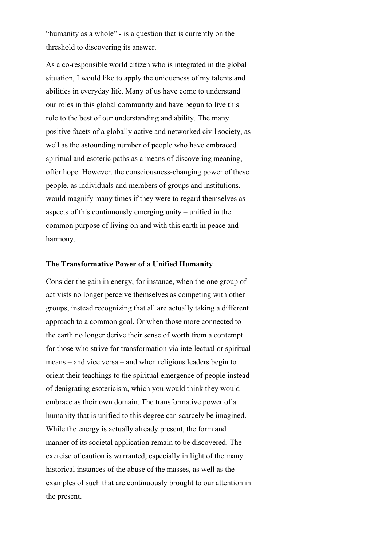"humanity as a whole" - is a question that is currently on the threshold to discovering its answer.

As a co-responsible world citizen who is integrated in the global situation, I would like to apply the uniqueness of my talents and abilities in everyday life. Many of us have come to understand our roles in this global community and have begun to live this role to the best of our understanding and ability. The many positive facets of a globally active and networked civil society, as well as the astounding number of people who have embraced spiritual and esoteric paths as a means of discovering meaning, offer hope. However, the consciousness-changing power of these people, as individuals and members of groups and institutions, would magnify many times if they were to regard themselves as aspects of this continuously emerging unity – unified in the common purpose of living on and with this earth in peace and harmony.

#### **The Transformative Power of a Unified Humanity**

Consider the gain in energy, for instance, when the one group of activists no longer perceive themselves as competing with other groups, instead recognizing that all are actually taking a different approach to a common goal. Or when those more connected to the earth no longer derive their sense of worth from a contempt for those who strive for transformation via intellectual or spiritual means – and vice versa – and when religious leaders begin to orient their teachings to the spiritual emergence of people instead of denigrating esotericism, which you would think they would embrace as their own domain. The transformative power of a humanity that is unified to this degree can scarcely be imagined. While the energy is actually already present, the form and manner of its societal application remain to be discovered. The exercise of caution is warranted, especially in light of the many historical instances of the abuse of the masses, as well as the examples of such that are continuously brought to our attention in the present.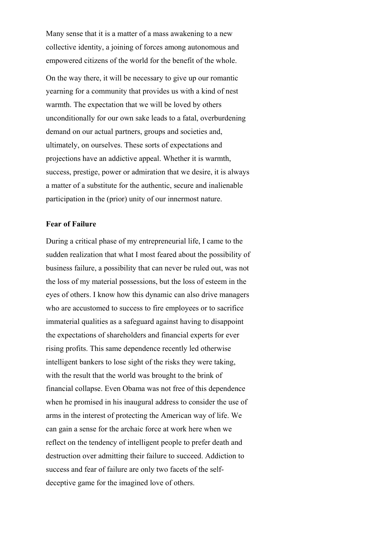Many sense that it is a matter of a mass awakening to a new collective identity, a joining of forces among autonomous and empowered citizens of the world for the benefit of the whole.

On the way there, it will be necessary to give up our romantic yearning for a community that provides us with a kind of nest warmth. The expectation that we will be loved by others unconditionally for our own sake leads to a fatal, overburdening demand on our actual partners, groups and societies and, ultimately, on ourselves. These sorts of expectations and projections have an addictive appeal. Whether it is warmth, success, prestige, power or admiration that we desire, it is always a matter of a substitute for the authentic, secure and inalienable participation in the (prior) unity of our innermost nature.

## **Fear of Failure**

During a critical phase of my entrepreneurial life, I came to the sudden realization that what I most feared about the possibility of business failure, a possibility that can never be ruled out, was not the loss of my material possessions, but the loss of esteem in the eyes of others. I know how this dynamic can also drive managers who are accustomed to success to fire employees or to sacrifice immaterial qualities as a safeguard against having to disappoint the expectations of shareholders and financial experts for ever rising profits. This same dependence recently led otherwise intelligent bankers to lose sight of the risks they were taking, with the result that the world was brought to the brink of financial collapse. Even Obama was not free of this dependence when he promised in his inaugural address to consider the use of arms in the interest of protecting the American way of life. We can gain a sense for the archaic force at work here when we reflect on the tendency of intelligent people to prefer death and destruction over admitting their failure to succeed. Addiction to success and fear of failure are only two facets of the selfdeceptive game for the imagined love of others.